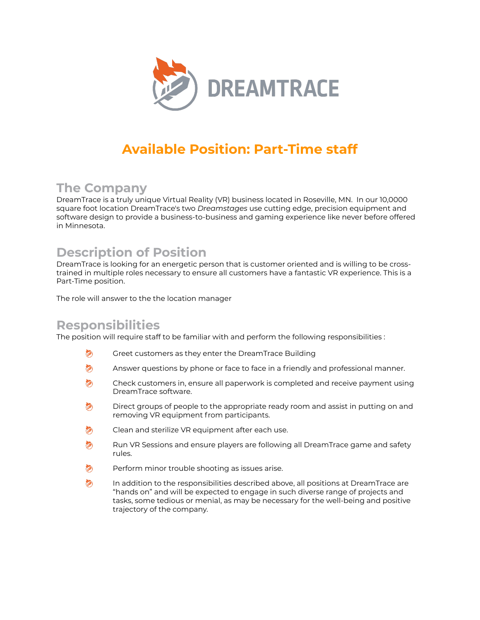

# **Available Position: Part-Time staff**

## **The Company**

DreamTrace is a truly unique Virtual Reality (VR) business located in Roseville, MN. In our 10,0000 square foot location DreamTrace's two *Dreamstages* use cutting edge, precision equipment and software design to provide a business-to-business and gaming experience like never before offered in Minnesota.

## **Description of Position**

DreamTrace is looking for an energetic person that is customer oriented and is willing to be crosstrained in multiple roles necessary to ensure all customers have a fantastic VR experience. This is a Part-Time position.

The role will answer to the the location manager

#### **Responsibilities**

The position will require staff to be familiar with and perform the following responsibilities :

- Greet customers as they enter the DreamTrace Building 白
- 钧 Answer questions by phone or face to face in a friendly and professional manner.
- 钧 Check customers in, ensure all paperwork is completed and receive payment using DreamTrace software.
- 內 Direct groups of people to the appropriate ready room and assist in putting on and removing VR equipment from participants.
- 钧 Clean and sterilize VR equipment after each use.
- Run VR Sessions and ensure players are following all DreamTrace game and safety 钧 rules.
- Perform minor trouble shooting as issues arise. ◎
- 均 In addition to the responsibilities described above, all positions at DreamTrace are "hands on" and will be expected to engage in such diverse range of projects and tasks, some tedious or menial, as may be necessary for the well-being and positive trajectory of the company.